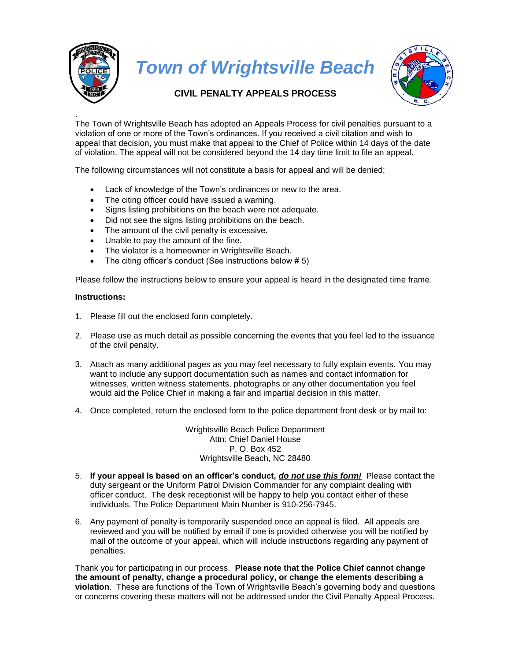

*Town of Wrightsville Beach*



## **CIVIL PENALTY APPEALS PROCESS**

. The Town of Wrightsville Beach has adopted an Appeals Process for civil penalties pursuant to a violation of one or more of the Town's ordinances. If you received a civil citation and wish to appeal that decision, you must make that appeal to the Chief of Police within 14 days of the date of violation. The appeal will not be considered beyond the 14 day time limit to file an appeal.

The following circumstances will not constitute a basis for appeal and will be denied;

- Lack of knowledge of the Town's ordinances or new to the area.
- The citing officer could have issued a warning.
- Signs listing prohibitions on the beach were not adequate.
- Did not see the signs listing prohibitions on the beach.
- The amount of the civil penalty is excessive.
- Unable to pay the amount of the fine.
- The violator is a homeowner in Wrightsville Beach.
- The citing officer's conduct (See instructions below # 5)

Please follow the instructions below to ensure your appeal is heard in the designated time frame.

## **Instructions:**

- 1. Please fill out the enclosed form completely.
- 2. Please use as much detail as possible concerning the events that you feel led to the issuance of the civil penalty.
- 3. Attach as many additional pages as you may feel necessary to fully explain events. You may want to include any support documentation such as names and contact information for witnesses, written witness statements, photographs or any other documentation you feel would aid the Police Chief in making a fair and impartial decision in this matter.
- 4. Once completed, return the enclosed form to the police department front desk or by mail to:

Wrightsville Beach Police Department Attn: Chief Daniel House P. O. Box 452 Wrightsville Beach, NC 28480

- 5. **If your appeal is based on an officer's conduct,** *do not use this form!* Please contact the duty sergeant or the Uniform Patrol Division Commander for any complaint dealing with officer conduct. The desk receptionist will be happy to help you contact either of these individuals. The Police Department Main Number is 910-256-7945.
- 6. Any payment of penalty is temporarily suspended once an appeal is filed. All appeals are reviewed and you will be notified by email if one is provided otherwise you will be notified by mail of the outcome of your appeal, which will include instructions regarding any payment of penalties.

Thank you for participating in our process. **Please note that the Police Chief cannot change the amount of penalty, change a procedural policy, or change the elements describing a violation**. These are functions of the Town of Wrightsville Beach's governing body and questions or concerns covering these matters will not be addressed under the Civil Penalty Appeal Process.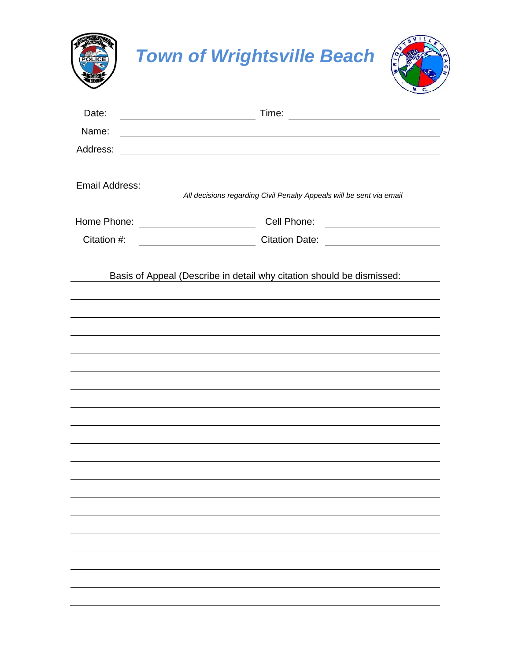| <b>POLICE</b><br>189 | <b>Town of Wrightsville Beach</b>                                                                                                                        |
|----------------------|----------------------------------------------------------------------------------------------------------------------------------------------------------|
| Date:                |                                                                                                                                                          |
| Name:                | <u> Andreas Andreas Andreas Andreas Andreas Andreas Andreas Andreas Andreas Andreas Andreas Andreas Andreas Andr</u>                                     |
|                      |                                                                                                                                                          |
| Email Address:       | ,我们也不会有什么。""我们的人,我们也不会有什么?""我们的人,我们也不会有什么?""我们的人,我们也不会有什么?""我们的人,我们也不会有什么?""我们的人<br>All decisions regarding Civil Penalty Appeals will be sent via email |
|                      |                                                                                                                                                          |
|                      | Citation #: _________________________________Citation Date: ____________________                                                                         |
|                      |                                                                                                                                                          |
|                      |                                                                                                                                                          |
|                      |                                                                                                                                                          |
|                      |                                                                                                                                                          |
|                      |                                                                                                                                                          |
|                      |                                                                                                                                                          |
|                      |                                                                                                                                                          |
|                      |                                                                                                                                                          |